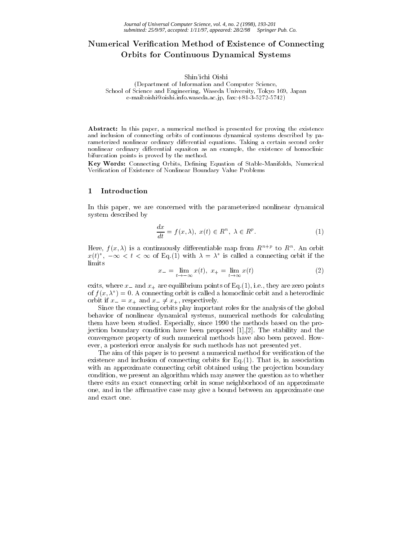# . Numerical Verintial Alexander and Connecting Connecting Connecting Connecting Connecting Connecting Connecting Co Orbits for Continuous Dynamical Systems

### Shin'ichi Oishi

(Department of Information and Computer Science, School of Science and Engineering, Waseda University, Tokyo 169, Japan e-mail:oishi@oishi.info.waseda.ac.jp, fax:+81-3-5272-5742)

Abstract: In this paper, a numerical method is presented for proving the existence and inclusion of connecting orbits of continuous dynamical systems described by parameterized nonlinear ordinary differential equations. Taking a certain second order nonlinear ordinary differential equaiton as an example, the existence of homoclinic bifurcation points is proved by the method.

Key Words: Connecting Orbits, Defining Equation of Stable-Manifolds, Numerical Verification of Existence of Nonlinear Boundary Value Problems

#### 1Introduction

In this paper, we are concerned with the parameterized nonlinear dynamical system described by

$$
\frac{dx}{dt} = f(x,\lambda), \ x(t) \in R^n, \ \lambda \in R^p. \tag{1}
$$

Here,  $f(x, \lambda)$  is a continuously differentiable map from  $R^{n+p}$  to  $R^n$ . An orbit  $x(t)$ ,  $-\infty < t < \infty$  or Eq.(1) with  $\lambda = \lambda$  is called a connecting orbit if the limits

$$
x_{-} = \lim_{t \to -\infty} x(t), \ x_{+} = \lim_{t \to \infty} x(t) \tag{2}
$$

exits, where  $x_{-}$  and  $x_{+}$  are equilibrium points of Eq.(1), i.e., they are zero points of  $f(x, \lambda) = 0$ . A connecting orbit is called a homoclinic orbit and a heteroclinic orbit if  $x = x_+$  and  $x = \neq x_+$ , respectively.

Since the connecting orbits play important roles for the analysis of the global behavior of nonlinear dynamical systems, numerical methods for calculating them have been studied. Especially, since 1990 the methods based on the projection boundary condition have been proposed [1],[2]. The stability and the convergence property of such numerical methods have also been proved. How ever, a posteriori error analysis for such methods has not presented yet.

The aim of this paper is to present a numerical method for verification of the existence and inclusion of connecting orbits for Eq.(1). That is, in association with an approximate connecting orbit obtained using the projection boundary condition, we present an algorithm which may answer the question as to whether there exits an exact connecting orbit in some neighborhood of an approximate one, and in the affirmative case may give a bound between an approximate one and exact one.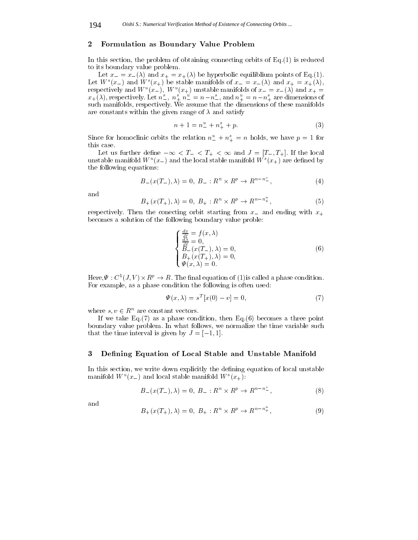#### 2Formulation as Boundary Value Problem

In this section, the problem of obtaining connecting orbits of  $Eq.(1)$  is reduced to its boundary value problem.

Let  $x = x_-(\lambda)$  and  $x_+ = x_+(\lambda)$  be hyperbolic equiliblium points of Eq.(1). Let  $W^s(x_{-})$  and  $W^s(x_{+})$  be stable manifolds of  $x_{-} = x_{-}(\lambda)$  and  $x_{+} = x_{+}(\lambda)$ , respectively and W  $(u-1)$ , W  $(u+1)$  unstable manifolds of  $x = x + (\lambda)$  and  $x_+ = x + (\lambda)$ , respectively. Let  $n^s_-, n^s_+ n^u_- = n - n^s_-,$  and  $n^u_+ = n - n^s_+$  are dimensions of such manifolds, respectively. We assume that the dimensions of these manifolds are constants within the given range of  $\lambda$  and satisfy

$$
n + 1 = n_{-}^{u} + n_{+}^{s} + p. \tag{3}
$$

Since for homoclinic orbits the relation  $n_{-}^{u} + n_{+}^{s} = n$  holds, we have  $p = 1$  for this case.

Let us further define  $-\infty < T_- < T_+ < \infty$  and  $J = [T_-, T_+]$ . If the local unstable manhold W  $(x_{-})$  and the local stable manifold W  $(x_{+})$  are defined by the following equations:

$$
B_{-}(x(T_{-}),\lambda) = 0, \ B_{-}: R^{n} \times R^{p} \to R^{n-n^{s}}.
$$
 (4)

and

$$
B_{+}(x(T_{+}),\lambda) = 0, B_{+}: R^{n} \times R^{p} \to R^{n-n_{+}^{u}}, \tag{5}
$$

respectively. Then the conecting orbit starting from  $x_{-}$  and ending with  $x_{+}$ becomes a solution of the following boundary value proble:

$$
\begin{cases}\n\frac{dx}{dt} = f(x, \lambda) \\
\frac{d\lambda}{dt} = 0, \\
B_{-}(x(T_{-}), \lambda) = 0, \\
B_{+}(x(T_{+}), \lambda) = 0, \\
\Psi(x, \lambda) = 0.\n\end{cases}
$$
\n(6)

 $\text{Here}, \Psi : \cup_{i \in I} V_i \times \mathbb{R}^n \to \mathbb{R}$ . The imal equation of (1) is called a phase condition. For example, as a phase condition the following is often used:

$$
\Psi(x,\lambda) = s^T[x(0) - v] = 0,\tag{7}
$$

where  $s, v \in \mathbb{R}^n$  are constant vectors.

If we take  $Eq.(7)$  as a phase condition, then  $Eq.(6)$  becomes a three point boundary value problem. In what follows, we normalize the time variable such that the time interval is given by  $J = [-1, 1]$ .

#### 3Defining Equation of Local Stable and Unstable Manifold

In this section, we write down explicitly the defining equation of local unstable manifold W  $(x_{-})$  and local stable manifold W  $(x_{+})$ :

$$
B_{-}(x(T_{-}),\lambda) = 0, \ B_{-}: R^{n} \times R^{p} \to R^{n-n^{s}}.
$$
 (8)

and

$$
B_{+}(x(T_{+}),\lambda) = 0, B_{+}: R^{n} \times R^{p} \to R^{n-n_{+}^{u}}, \tag{9}
$$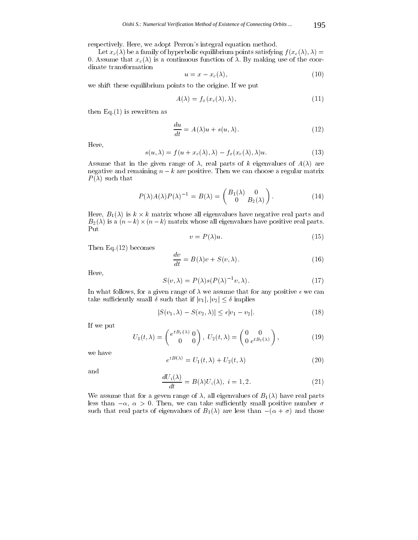respectively. Here, we adopt Perron's integral equation method.

Let  $x_c(\lambda)$  be a family of hyperbolic equilibrium points satisfying  $f(x_c(\lambda), \lambda) =$ 0. Assume that  $x_c(\lambda)$  is a continuous function of  $\lambda$ . By making use of the coordinate transformation

$$
u = x - x_c(\lambda),\tag{10}
$$

we shift these equilibrium points to the origine. If we put

$$
A(\lambda) = f_x(x_c(\lambda), \lambda), \tag{11}
$$

then  $Eq.(1)$  is rewritten as

$$
\frac{du}{dt} = A(\lambda)u + s(u, \lambda).
$$
 (12)

Here,

$$
s(u, \lambda) = f(u + x_c(\lambda), \lambda) - f_x(x_c(\lambda), \lambda)u.
$$
 (13)

Assume that in the given range of  $\lambda$ , real parts of k eigenvalues of  $A(\lambda)$  are negative and remaining  $n - k$  are positive. Then we can choose a regular matrix  $P(\lambda)$  such that

$$
P(\lambda)A(\lambda)P(\lambda)^{-1} = B(\lambda) = \begin{pmatrix} B_1(\lambda) & 0 \\ 0 & B_2(\lambda) \end{pmatrix}.
$$
 (14)

 $\mathbb{R}$  is k and all eigenvalues have negative real parts and parts are negative real parts and parts and parts and parts and parts are negative real parts and parts are negative real parts and parts are negative real pa B2() is a (nk)-(nk) matrix whose all eigenvalues have positive real parts. Put

$$
v = P(\lambda)u.\tag{15}
$$

Then Eq.(12) becomes

$$
\frac{dv}{dt} = B(\lambda)v + S(v, \lambda). \tag{16}
$$

Here,

$$
S(v,\lambda) = P(\lambda)s(P(\lambda)^{-1}v,\lambda).
$$
 (17)

In what follows, for a given range of  $\lambda$  we assume that for any positive  $\epsilon$  we can take sufficiently small  $\delta$  such that if  $|v_1|, |v_2| \leq \delta$  implies

$$
|S(v_1, \lambda) - S(v_2, \lambda)| \le \epsilon |v_1 - v_2|.
$$
\n(18)

If we put

$$
U_1(t,\lambda) = \begin{pmatrix} e^{tB_1(\lambda)} & 0 \\ 0 & 0 \end{pmatrix}, \ U_2(t,\lambda) = \begin{pmatrix} 0 & 0 \\ 0 & e^{tB_2(\lambda)} \end{pmatrix}, \tag{19}
$$

we have

$$
e^{tB(\lambda)} = U_1(t, \lambda) + U_2(t, \lambda)
$$
\n(20)

and

$$
\frac{dU_i(\lambda)}{dt} = B(\lambda)U_i(\lambda), \ i = 1, 2. \tag{21}
$$

We assume that for a geven range of  $\lambda$ , all eigenvalues of  $B_1(\lambda)$  have real parts less than  $-\alpha$ ,  $\alpha > 0$ . Then, we can take sufficiently small positive number  $\sigma$ such that real parts of eigenvalues of  $B_1(\lambda)$  are less than  $-({\alpha + \sigma})$  and those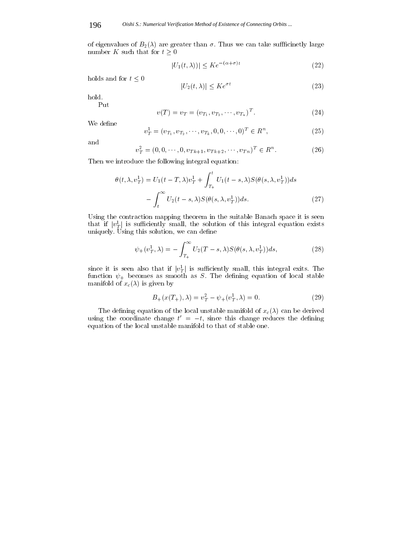of eigenvalues of  $B_2(\lambda)$  are greater than  $\sigma$ . Thus we can take sufficinetly large number K such that for  $t \geq 0$ 

$$
|U_1(t,\lambda))| \le Ke^{-(\alpha+\sigma)t} \tag{22}
$$

holds and for  $t\leq 0$ 

$$
|U_2(t,\lambda)| \le Ke^{\sigma t} \tag{23}
$$

hold.

Put

$$
v(T) = v_T = (v_{T_1}, v_{T_2}, \cdots, v_{T_n})^T.
$$
 (24)

We define

$$
v_T^1 = (v_{T_1}, v_{T_2}, \cdots, v_{T_k}, 0, 0, \cdots, 0)^T \in R^n,
$$
\n(25)

and

$$
v_T^2 = (0, 0, \cdots, 0, v_{Tk+1}, v_{Tk+2}, \cdots, v_{Tn})^T \in R^n.
$$
 (26)

Then we introduce the following integral equation:

$$
\theta(t,\lambda,v_T^1) = U_1(t-T,\lambda)v_T^1 + \int_{T_+}^t U_1(t-s,\lambda)S(\theta(s,\lambda,v_T^1))ds
$$

$$
- \int_t^\infty U_2(t-s,\lambda)S(\theta(s,\lambda,v_T^1))ds.
$$
(27)

Using the contraction mapping theorem in the suitable Banach space it is seen that if  $|v^{\perp}_T|$  is sumclently small, the solution of this integral equation exists uniquely. Using this solution, we can define

$$
\psi_+(v_T^1,\lambda) = -\int_{T_+}^{\infty} U_2(T-s,\lambda)S(\theta(s,\lambda,v_T^1))ds,\tag{28}
$$

since it is seen also that if  $|v_T|$  is sumclemtly small, this integral exits. The function  $\psi_+$  becomes as smooth as S. The defining equation of local stable manifold of  $x_c(\lambda)$  is given by

$$
B_{+}(x(T_{+}),\lambda) = v_T^2 - \psi_{+}(v_T^1,\lambda) = 0.
$$
\n(29)

The defining equation of the local unstable manifold of  $x_c(\lambda)$  can be derived using the coordinate change  $t^-=t$ , since this change reduces the defining equation of the local unstable manifold to that of stable one.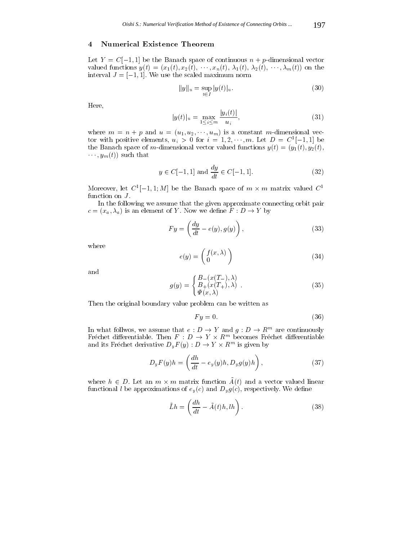## Numerical Existence Theorem

Let  $Y = C[-1, 1]$  be the Banach space of continuous  $n + p$ -dimensional vector valued functions  $y(t)=(x_1(t), x_2(t), \dots, x_n(t), \lambda_1(t), \lambda_2(t), \dots, \lambda_m(t))$  on the interval  $J = [-1, 1]$ . We use the scaled maximum norm

$$
||y||_u = \sup_{t \in I} |y(t)|_u.
$$
 (30)

Here,

$$
|y(t)|_u = \max_{1 \le i \le m} \frac{|y_i(t)|}{u_i}, \tag{31}
$$

where  $m = n + p$  and  $u = (u_1, u_2, \dots, u_m)$  is a constant m-dimensional vector with positive elements,  $u_i > 0$  for  $i = 1, 2, \cdots, m$ . Let  $D = C[-1, 1]$  be the Banach space of m-dimensional vector valued functions  $y(t)=(y_1(t), y_2(t),$  $\cdots$ ,  $y_m(t)$  such that

$$
y \in C[-1, 1]
$$
 and  $\frac{dy}{dt} \in C[-1, 1].$  (32)

Moreover, let  $C^-[-1,1;M]$  be the Banach space of  $m \times m$  matrix valued  $C^$ function on  $J$ .

In the following we assume that the given approximate connecting orbit pair  $c = (x_a, \lambda_a)$  is an element of Y. Now we define  $F : D \to Y$  by

$$
F y = \left(\frac{dy}{dt} - e(y), g(y)\right),\tag{33}
$$

where

$$
e(y) = \begin{pmatrix} f(x,\lambda) \\ 0 \end{pmatrix} \tag{34}
$$

$$
g(y) = \begin{cases} B_{-}(x(T_{-}), \lambda) \\ B_{+}(x(T_{+}), \lambda) \\ \Psi(x, \lambda) \end{cases} \tag{35}
$$

Then the original boundary value problem can be written as

$$
Fy = 0.\t\t(36)
$$

In what follwos, we assume that  $e : D \to Y$  and  $g : D \to R$  are continuously Frechet differentiable. Then  $F : D \to Y \times K^{\cdots}$  becomes Frechet differentiable and its Frechet derivative  $D_yF(y): D \to Y \times R^{\cdots}$  is given by

$$
D_y F(y)h = \left(\frac{dh}{dt} - e_y(y)h, D_y g(y)h\right),\tag{37}
$$

where  $n \in D$ . Let all  $m \wedge m$  matrix function  $A(t)$  and a vector valued initial functional *l* be approximations of  $e_y(c)$  and  $D_y g(c)$ , respectively. We define

$$
\tilde{L}h = \left(\frac{dh}{dt} - \tilde{A}(t)h, lh\right). \tag{38}
$$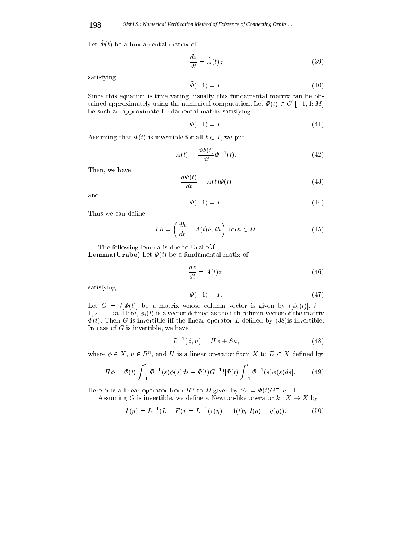$\text{Let } \mathbf{Y}(t)$  be a fundamental matrix of

$$
\frac{dz}{dt} = \tilde{A}(t)z\tag{39}
$$

satisfying

$$
\tilde{\Phi}(-1) = I. \tag{40}
$$

Since this equation is time varing, usually this fundamental matrix can be obtained approximately using the numerical computation. Let  $\Psi(t) \in C^*[-1,1;M]$ be such an approximate fundamental matrix satisfying

$$
\Phi(-1) = I. \tag{41}
$$

Assuming that  $\Phi(t)$  is invertible for all  $t \in J$ , we put

$$
A(t) = \frac{d\Phi(t)}{dt} \Phi^{-1}(t). \tag{42}
$$

Then, we have

$$
\frac{d\Phi(t)}{dt} = A(t)\Phi(t) \tag{43}
$$

and

$$
\Phi(-1) = I. \tag{44}
$$

Thus we can define

$$
Lh = \left(\frac{dh}{dt} - A(t)h, lh\right) \text{ for } h \in D. \tag{45}
$$

The following lemma is due to Urabe[3]: **Lemma(Urabe)** Let  $\Phi(t)$  be a fundamental matix of

$$
\frac{dz}{dt} = A(t)z,\t\t(46)
$$

satisfying

$$
\Phi(-1) = I. \tag{47}
$$

Let  $G = l[\Phi(t)]$  be a matrix whose column vector is given by  $l[\phi_i(t)]$ ,  $i 1, 2, \dots, m$ . Here,  $\phi_i(t)$  is a vector defined as the i-th column vector of the matrix  $\Phi(t)$ . Then G is invertible iff the linear operator L defined by (38)is invertible. In case of  $G$  is invertible, we have

$$
L^{-1}(\phi, u) = H\phi + Su,
$$
\n(48)

where  $\varphi \in A$ ,  $u \in R^{\sim}$ , and  $H$  is a linear operator from  $A$  to  $D \subset A$  defined by

$$
H\phi = \Phi(t) \int_{-1}^{t} \Phi^{-1}(s)\phi(s)ds - \Phi(t)G^{-1}l[\Phi(t) \int_{-1}^{t} \Phi^{-1}(s)\phi(s)ds].
$$
 (49)

Here S is a linear operator from  $R^+$  to D given by  $Sv = \Psi(t)G^{-+}v$ .

Assuming G is invertible, we define a Newton-like operator  $k: X \to X$  by

$$
k(y) = L^{-1}(L - F)x = L^{-1}(e(y) - A(t)y, l(y) - g(y)).
$$
\n(50)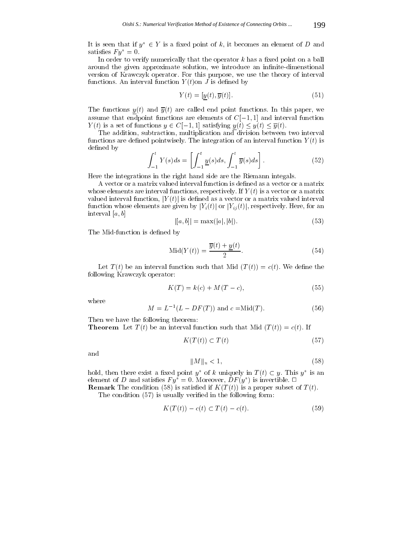It is seen that if  $y^* \in Y$  is a fixed point of k, it becomes an element of D and satisfies  $F y^* = 0$ .

In order to verify numerically that the operator  $k$  has a fixed point on a ball around the given approximate solution, we introduce an infinite-dimenstional version of Krawczyk operator. For this purpose, we use the theory of interval functions. An interval function  $Y(t)$  on J is defined by

$$
Y(t) = [y(t), \overline{y}(t)].
$$
\n(51)

The functions  $y(t)$  and  $\overline{y}(t)$  are called end point functions. In this paper, we assume that endpoint functions are elements of  $C[-1, 1]$  and interval function  $Y\left(t\right)$  is a set of functions  $y\in C[-1,1]$  satisfying  $\underline{y}\left(t\right)\leq y(t)\leq \overline{y}(t).$ 

The addition, subtraction, multiplication and division between two interval functions are defined pointwisely. The integration of an interval function  $Y(t)$  is defined by

$$
\int_{-1}^{t} Y(s)ds = \left[\int_{-1}^{t} \underline{y}(s)ds, \int_{-1}^{t} \overline{y}(s)ds\right].
$$
 (52)

Here the integrations in the right hand side are the Riemann integals.

A vector or a matrix valued interval function is defined as a vector or a matrix whose elements are interval functions, respectively. If  $Y(t)$  is a vector or a matrix valued interval function,  $|Y(t)|$  is defined as a vector or a matrix valued interval function whose elements are given by  $|Y_i(t)|$  or  $|Y_{ij}(t)|$ , respectively. Here, for an interval  $[a, b]$ 

$$
|[a, b]| = \max(|a|, |b|). \tag{53}
$$

The Mid-function is defined by

$$
\text{Mid}(Y(t)) = \frac{\overline{y}(t) + \underline{y}(t)}{2}.
$$
\n(54)

Let  $T(t)$  be an interval function such that Mid  $(T(t)) = c(t)$ . We define the following Krawczyk operator:

$$
K(T) = k(c) + M(T - c),
$$
\n(55)

where

$$
M = L^{-1}(L - DF(T)) \text{ and } c = \text{Mid}(T). \tag{56}
$$

Then we have the following theorem:

**Theorem** Let  $T(t)$  be an interval function such that Mid  $(T(t)) = c(t)$ . If

$$
K(T(t)) \subset T(t) \tag{57}
$$

and

$$
||M||_u < 1,\tag{58}
$$

hold, then there exist a fixed point  $y$  for  $\kappa$  uniquely in  $I$   $(t) \subset y$ . This  $y$  is an element of D and satisfies  $F(y) = 0$ . Moreover,  $D F(y)$  is invertible.  $\Box$ 

**Remark** The condition (58) is satisfied if  $K(T(t))$  is a proper subset of  $T(t)$ . The condition (57) is usually veried in the following form:

$$
K(T(t)) - c(t) \subset T(t) - c(t). \tag{59}
$$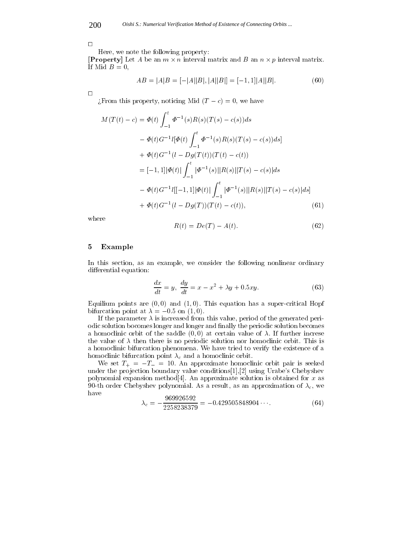$\Box$ 

Here, we note the following property:

 $\mathbf{P}$  and  $\mathbf{P}$  and  $\mathbf{P}$  and  $\mathbf{P}$  and  $\mathbf{P}$  and  $\mathbf{P}$  and  $\mathbf{P}$  and  $\mathbf{P}$ If Mid  $B=0$ ,

$$
AB = |A|B = [-|A||B|, |A||B|] = [-1, 1]|A||B|.
$$
\n(60)

 $\Box$ 

 $\chi$ From this property, noticing Mid  $(T - c) = 0$ , we have

$$
M(T(t) - c) = \Phi(t) \int_{-1}^{t} \Phi^{-1}(s)R(s)(T(s) - c(s))ds
$$
  
\n
$$
- \Phi(t)G^{-1}[\Phi(t) \int_{-1}^{t} \Phi^{-1}(s)R(s)(T(s) - c(s))ds]
$$
  
\n
$$
+ \Phi(t)G^{-1}(l - Dg(T(t))(T(t) - c(t))
$$
  
\n
$$
= [-1,1]|\Phi(t)| \int_{-1}^{t} |\Phi^{-1}(s)||R(s)||T(s) - c(s)|ds
$$
  
\n
$$
- \Phi(t)G^{-1}l[[-1,1]|\Phi(t)| \int_{-1}^{t} |\Phi^{-1}(s)||R(s)||T(s) - c(s)|ds]
$$
  
\n
$$
+ \Phi(t)G^{-1}(l - Dg(T))(T(t) - c(t)),
$$
\n(61)

where

$$
R(t) = De(T) - A(t). \tag{62}
$$

#### 5Example

In this section, as an example, we consider the following nonlinear ordinary differential equation:

$$
\frac{dx}{dt} = y, \quad \frac{dy}{dt} = x - x^2 + \lambda y + 0.5xy. \tag{63}
$$

Equilium points are  $(0,0)$  and  $(1,0)$ . This equation has a super-critical Hopf bifurcation point at  $\lambda = -0.5$  on  $(1, 0)$ .

If the parameter  $\lambda$  is increased from this value, period of the generated periodic solution bocomes longer and longer and finally the periodic solution becomes a homoclinic orbit of the saddle  $(0, 0)$  at certain value of  $\lambda$ . If further increse the value of  $\lambda$  then there is no periodic solution nor homoclinic orbit. This is a homoclinic bifurcation phenomena. We have tried to verify the existence of a homoclinic bifurcation point  $\lambda_c$  and a homoclinic orbit.

We set  $T_+ = -T_- = 10$ . An approximate homoclinic orbit pair is seeked under the projection boundary value conditions $[1],[2]$  using Urabe's Chebyshev polynomial expansion method<sup>[4]</sup>. An approximate solution is obtained for  $x$  as 90-th order Chebyshev polynomial. As a result, as an approximation of  $\lambda_c$ , we have 060096509

$$
\lambda_c = -\frac{969926592}{2258238379} = -0.429505848904\cdots. \tag{64}
$$